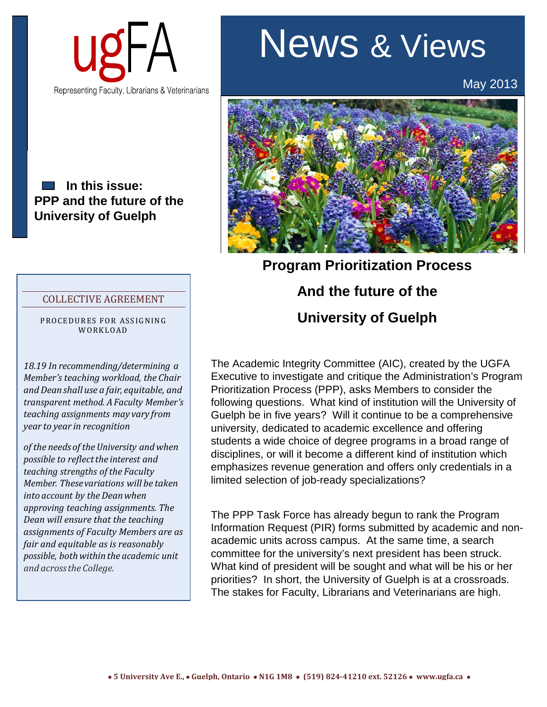

## **In this issue: PPP and the future of the University of Guelph**

## COLLECTIVE AGREEMENT

PROCEDURES FOR ASSIGNING WORKLOAD

*18.19 In recommending/determining a Member's teaching workload, the Chair andDeanshall use a fair, equitable, and transparent method. AFaculty Member's teaching assignments may vary from year to year in recognition*

*of the needs of theUniversity and when possible to reflectthe interest and teaching strengths of the Faculty Member. Thesevariations will be taken into account by the Deanwhen approving teaching assignments. The Dean will ensure that the teaching assignments of Faculty Members are as fair and equitable as is reasonably possible, bothwithinthe academic unit and acrossthe College.*

## News & Views

May 2013



**Program Prioritization Process And the future of the University of Guelph**

The Academic Integrity Committee (AIC), created by the UGFA Executive to investigate and critique the Administration's Program Prioritization Process (PPP), asks Members to consider the following questions. What kind of institution will the University of Guelph be in five years? Will it continue to be a comprehensive university, dedicated to academic excellence and offering students a wide choice of degree programs in a broad range of disciplines, or will it become a different kind of institution which emphasizes revenue generation and offers only credentials in a limited selection of job-ready specializations?

The PPP Task Force has already begun to rank the Program Information Request (PIR) forms submitted by academic and nonacademic units across campus. At the same time, a search committee for the university's next president has been struck. What kind of president will be sought and what will be his or her priorities? In short, the University of Guelph is at a crossroads. The stakes for Faculty, Librarians and Veterinarians are high.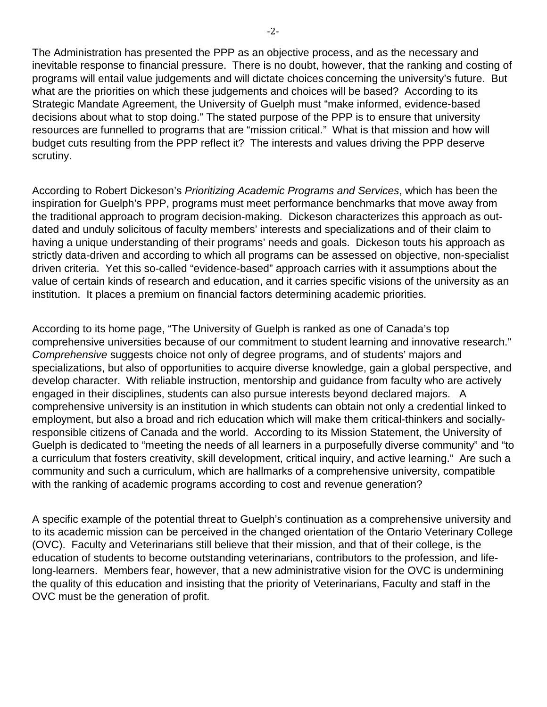The Administration has presented the PPP as an objective process, and as the necessary and inevitable response to financial pressure. There is no doubt, however, that the ranking and costing of programs will entail value judgements and will dictate choices concerning the university's future. But what are the priorities on which these judgements and choices will be based? According to its Strategic Mandate Agreement, the University of Guelph must "make informed, evidence-based decisions about what to stop doing." The stated purpose of the PPP is to ensure that university resources are funnelled to programs that are "mission critical." What is that mission and how will budget cuts resulting from the PPP reflect it? The interests and values driving the PPP deserve scrutiny.

According to Robert Dickeson's *Prioritizing Academic Programs and Services*, which has been the inspiration for Guelph's PPP, programs must meet performance benchmarks that move away from the traditional approach to program decision-making. Dickeson characterizes this approach as outdated and unduly solicitous of faculty members' interests and specializations and of their claim to having a unique understanding of their programs' needs and goals. Dickeson touts his approach as strictly data-driven and according to which all programs can be assessed on objective, non-specialist driven criteria. Yet this so-called "evidence-based" approach carries with it assumptions about the value of certain kinds of research and education, and it carries specific visions of the university as an institution. It places a premium on financial factors determining academic priorities.

According to its home page, "The University of Guelph is ranked as one of Canada's top comprehensive universities because of our commitment to student learning and innovative research." *Comprehensive* suggests choice not only of degree programs, and of students' majors and specializations, but also of opportunities to acquire diverse knowledge, gain a global perspective, and develop character. With reliable instruction, mentorship and guidance from faculty who are actively engaged in their disciplines, students can also pursue interests beyond declared majors. A comprehensive university is an institution in which students can obtain not only a credential linked to employment, but also a broad and rich education which will make them critical-thinkers and sociallyresponsible citizens of Canada and the world. According to its Mission Statement, the University of Guelph is dedicated to "meeting the needs of all learners in a purposefully diverse community" and "to a curriculum that fosters creativity, skill development, critical inquiry, and active learning." Are such a community and such a curriculum, which are hallmarks of a comprehensive university, compatible with the ranking of academic programs according to cost and revenue generation?

A specific example of the potential threat to Guelph's continuation as a comprehensive university and to its academic mission can be perceived in the changed orientation of the Ontario Veterinary College (OVC). Faculty and Veterinarians still believe that their mission, and that of their college, is the education of students to become outstanding veterinarians, contributors to the profession, and lifelong-learners. Members fear, however, that a new administrative vision for the OVC is undermining the quality of this education and insisting that the priority of Veterinarians, Faculty and staff in the OVC must be the generation of profit.